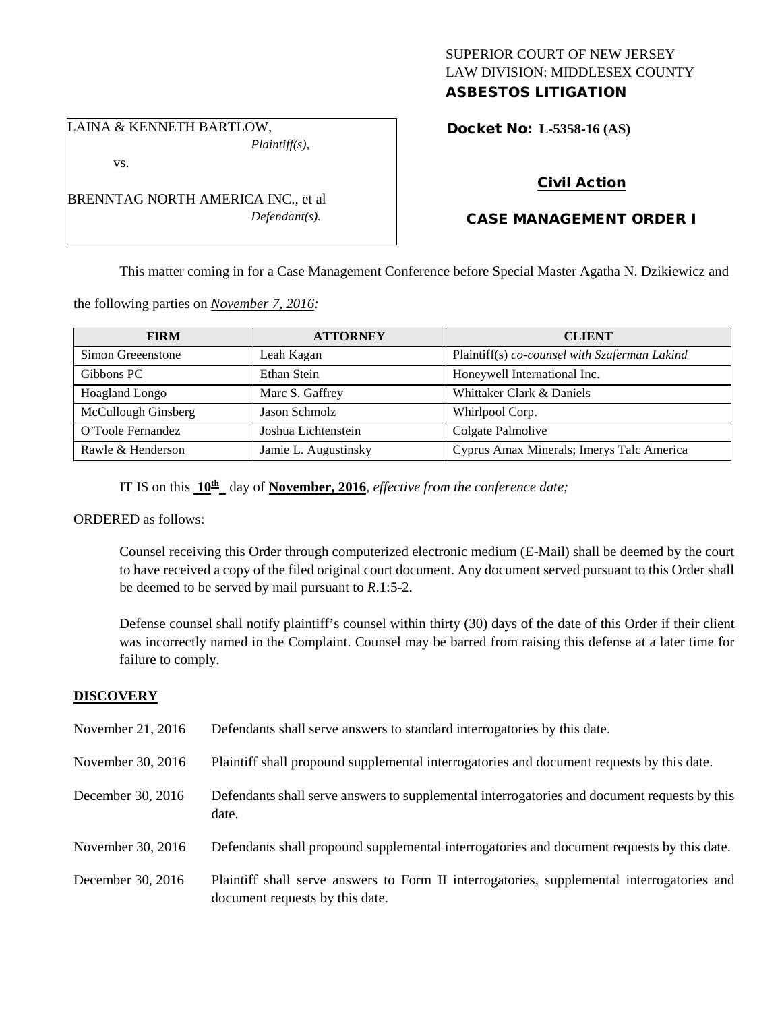# SUPERIOR COURT OF NEW JERSEY LAW DIVISION: MIDDLESEX COUNTY ASBESTOS LITIGATION

LAINA & KENNETH BARTLOW, *Plaintiff(s),*

vs.

BRENNTAG NORTH AMERICA INC., et al *Defendant(s).*

Docket No: **L-5358-16 (AS)** 

# Civil Action

# CASE MANAGEMENT ORDER I

This matter coming in for a Case Management Conference before Special Master Agatha N. Dzikiewicz and

the following parties on *November 7, 2016:*

| <b>FIRM</b>           | <b>ATTORNEY</b>      | <b>CLIENT</b>                                 |
|-----------------------|----------------------|-----------------------------------------------|
| Simon Greeenstone     | Leah Kagan           | Plaintiff(s) co-counsel with Szaferman Lakind |
| Gibbons PC            | Ethan Stein          | Honeywell International Inc.                  |
| <b>Hoagland Longo</b> | Marc S. Gaffrey      | Whittaker Clark & Daniels                     |
| McCullough Ginsberg   | Jason Schmolz        | Whirlpool Corp.                               |
| O'Toole Fernandez     | Joshua Lichtenstein  | Colgate Palmolive                             |
| Rawle & Henderson     | Jamie L. Augustinsky | Cyprus Amax Minerals; Imerys Talc America     |

IT IS on this **10th** day of **November, 2016**, *effective from the conference date;*

ORDERED as follows:

Counsel receiving this Order through computerized electronic medium (E-Mail) shall be deemed by the court to have received a copy of the filed original court document. Any document served pursuant to this Order shall be deemed to be served by mail pursuant to *R*.1:5-2.

Defense counsel shall notify plaintiff's counsel within thirty (30) days of the date of this Order if their client was incorrectly named in the Complaint. Counsel may be barred from raising this defense at a later time for failure to comply.

# **DISCOVERY**

| November 21, 2016 | Defendants shall serve answers to standard interrogatories by this date.                                                      |
|-------------------|-------------------------------------------------------------------------------------------------------------------------------|
| November 30, 2016 | Plaintiff shall propound supplemental interrogatories and document requests by this date.                                     |
| December 30, 2016 | Defendants shall serve answers to supplemental interrogatories and document requests by this<br>date.                         |
| November 30, 2016 | Defendants shall propound supplemental interrogatories and document requests by this date.                                    |
| December 30, 2016 | Plaintiff shall serve answers to Form II interrogatories, supplemental interrogatories and<br>document requests by this date. |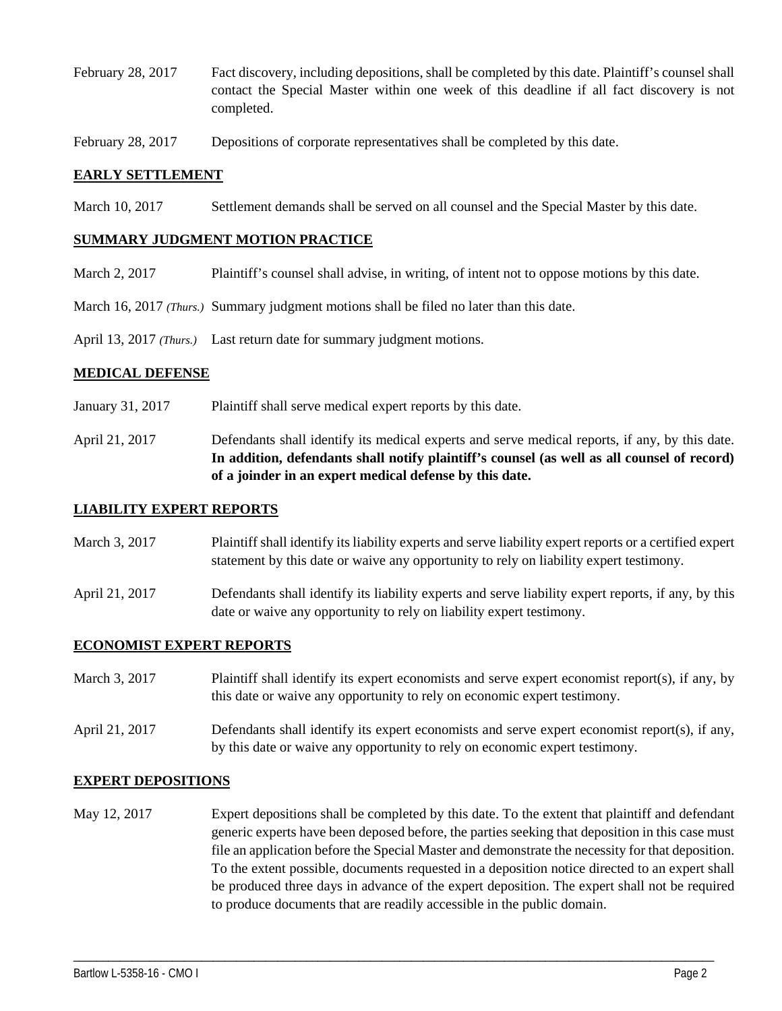- February 28, 2017 Fact discovery, including depositions, shall be completed by this date. Plaintiff's counsel shall contact the Special Master within one week of this deadline if all fact discovery is not completed.
- February 28, 2017 Depositions of corporate representatives shall be completed by this date.

## **EARLY SETTLEMENT**

March 10, 2017 Settlement demands shall be served on all counsel and the Special Master by this date.

#### **SUMMARY JUDGMENT MOTION PRACTICE**

- March 2, 2017 Plaintiff's counsel shall advise, in writing, of intent not to oppose motions by this date.
- March 16, 2017 *(Thurs.)* Summary judgment motions shall be filed no later than this date.
- April 13, 2017 *(Thurs.)* Last return date for summary judgment motions.

#### **MEDICAL DEFENSE**

- January 31, 2017 Plaintiff shall serve medical expert reports by this date.
- April 21, 2017 Defendants shall identify its medical experts and serve medical reports, if any, by this date. **In addition, defendants shall notify plaintiff's counsel (as well as all counsel of record) of a joinder in an expert medical defense by this date.**

## **LIABILITY EXPERT REPORTS**

- March 3, 2017 Plaintiff shall identify its liability experts and serve liability expert reports or a certified expert statement by this date or waive any opportunity to rely on liability expert testimony.
- April 21, 2017 Defendants shall identify its liability experts and serve liability expert reports, if any, by this date or waive any opportunity to rely on liability expert testimony.

## **ECONOMIST EXPERT REPORTS**

- March 3, 2017 Plaintiff shall identify its expert economists and serve expert economist report(s), if any, by this date or waive any opportunity to rely on economic expert testimony.
- April 21, 2017 Defendants shall identify its expert economists and serve expert economist report(s), if any, by this date or waive any opportunity to rely on economic expert testimony.

## **EXPERT DEPOSITIONS**

May 12, 2017 Expert depositions shall be completed by this date. To the extent that plaintiff and defendant generic experts have been deposed before, the parties seeking that deposition in this case must file an application before the Special Master and demonstrate the necessity for that deposition. To the extent possible, documents requested in a deposition notice directed to an expert shall be produced three days in advance of the expert deposition. The expert shall not be required to produce documents that are readily accessible in the public domain.

\_\_\_\_\_\_\_\_\_\_\_\_\_\_\_\_\_\_\_\_\_\_\_\_\_\_\_\_\_\_\_\_\_\_\_\_\_\_\_\_\_\_\_\_\_\_\_\_\_\_\_\_\_\_\_\_\_\_\_\_\_\_\_\_\_\_\_\_\_\_\_\_\_\_\_\_\_\_\_\_\_\_\_\_\_\_\_\_\_\_\_\_\_\_\_\_\_\_\_\_\_\_\_\_\_\_\_\_\_\_